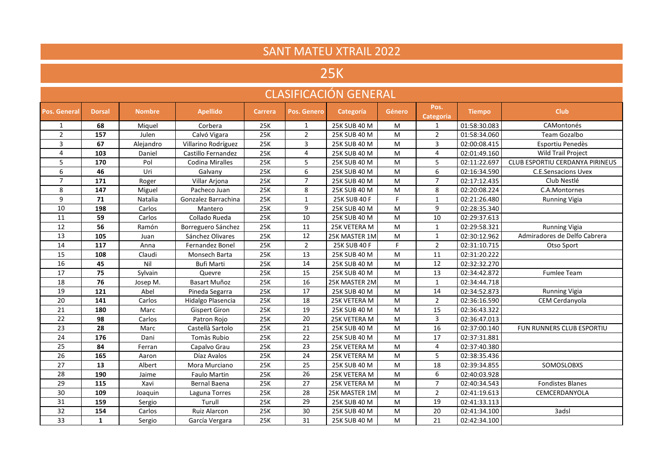| <b>SANT MATEU XTRAIL 2022</b> |               |               |                        |                |                  |               |               |                          |               |                                 |  |  |
|-------------------------------|---------------|---------------|------------------------|----------------|------------------|---------------|---------------|--------------------------|---------------|---------------------------------|--|--|
| 25K                           |               |               |                        |                |                  |               |               |                          |               |                                 |  |  |
| <b>CLASIFICACIÓN GENERAL</b>  |               |               |                        |                |                  |               |               |                          |               |                                 |  |  |
| Pos. General                  | <b>Dorsal</b> | <b>Nombre</b> | <b>Apellido</b>        | <b>Carrera</b> | Pos. Genero      | Categoría     | <b>Género</b> | Pos.<br><b>Categoria</b> | <b>Tiempo</b> | <b>Club</b>                     |  |  |
| $\mathbf{1}$                  | 68            | Miquel        | Corbera                | 25K            | $\mathbf{1}$     | 25K SUB 40 M  | M             | $\mathbf{1}$             | 01:58:30.083  | CAMontonés                      |  |  |
| $\overline{2}$                | 157           | Julen         | Calvó Vigara           | 25K            | $\overline{2}$   | 25K SUB 40 M  | M             | $\overline{2}$           | 01:58:34.060  | Team Gozalbo                    |  |  |
| 3                             | 67            | Alejandro     | Villarino Rodríguez    | 25K            | 3                | 25K SUB 40 M  | M             | 3                        | 02:00:08.415  | Esportiu Penedès                |  |  |
| $\overline{4}$                | 103           | Daniel        | Castillo Fernandez     | 25K            | $\overline{4}$   | 25K SUB 40 M  | M             | $\overline{4}$           | 02:01:49.160  | <b>Wild Trail Project</b>       |  |  |
| 5                             | 170           | Pol           | <b>Codina Miralles</b> | 25K            | 5                | 25K SUB 40 M  | M             | 5                        | 02:11:22.697  | CLUB ESPORTIU CERDANYA PIRINEUS |  |  |
| 6                             | 46            | Uri           | Galvany                | 25K            | 6                | 25K SUB 40 M  | ${\sf M}$     | 6                        | 02:16:34.590  | <b>C.E.Sensacions Uvex</b>      |  |  |
| $\overline{7}$                | 171           | Roger         | Villar Arjona          | 25K            | $\overline{7}$   | 25K SUB 40 M  | M             | $\overline{7}$           | 02:17:12.435  | Club Nestlé                     |  |  |
| 8                             | 147           | Miguel        | Pacheco Juan           | 25K            | 8                | 25K SUB 40 M  | M             | 8                        | 02:20:08.224  | C.A.Montornes                   |  |  |
| 9                             | 71            | Natalia       | Gonzalez Barrachina    | 25K            | $\mathbf{1}$     | 25K SUB 40 F  | F.            | $\mathbf{1}$             | 02:21:26.480  | <b>Running Vigia</b>            |  |  |
| 10                            | 198           | Carlos        | Mantero                | 25K            | $\boldsymbol{9}$ | 25K SUB 40 M  | M             | 9                        | 02:28:35.340  |                                 |  |  |
| 11                            | 59            | Carlos        | Collado Rueda          | 25K            | 10               | 25K SUB 40 M  | M             | 10                       | 02:29:37.613  |                                 |  |  |
| 12                            | 56            | Ramón         | Borreguero Sánchez     | 25K            | 11               | 25K VETERA M  | M             | $\mathbf{1}$             | 02:29:58.321  | <b>Running Vigia</b>            |  |  |
| 13                            | 105           | Juan          | Sánchez Olivares       | 25K            | 12               | 25K MASTER 1M | M             | $\mathbf{1}$             | 02:30:12.962  | Admiradores de Delfo Cabrera    |  |  |
| 14                            | 117           | Anna          | <b>Fernandez Bonel</b> | 25K            | $\overline{2}$   | 25K SUB 40 F  | F.            | $\overline{2}$           | 02:31:10.715  | Otso Sport                      |  |  |
| 15                            | 108           | Claudi        | Monsech Barta          | 25K            | 13               | 25K SUB 40 M  | ${\sf M}$     | 11                       | 02:31:20.222  |                                 |  |  |
| 16                            | 45            | Nil           | Bufi Marti             | 25K            | 14               | 25K SUB 40 M  | M             | 12                       | 02:32:32.270  |                                 |  |  |
| 17                            | 75            | Sylvain       | Quevre                 | 25K            | 15               | 25K SUB 40 M  | M             | 13                       | 02:34:42.872  | <b>Fumlee Team</b>              |  |  |
| 18                            | 76            | Josep M.      | Basart Muñoz           | 25K            | 16               | 25K MASTER 2M | M             | $\mathbf{1}$             | 02:34:44.718  |                                 |  |  |
| 19                            | 121           | Abel          | Pineda Segarra         | 25K            | 17               | 25K SUB 40 M  | M             | 14                       | 02:34:52.873  | <b>Running Vigia</b>            |  |  |
| 20                            | 141           | Carlos        | Hidalgo Plasencia      | 25K            | $\overline{18}$  | 25K VETERA M  | ${\sf M}$     | $\overline{2}$           | 02:36:16.590  | CEM Cerdanyola                  |  |  |
| 21                            | 180           | Marc          | <b>Gispert Giron</b>   | 25K            | 19               | 25K SUB 40 M  | M             | 15                       | 02:36:43.322  |                                 |  |  |
| $\overline{22}$               | 98            | Carlos        | Patron Rojo            | 25K            | 20               | 25K VETERA M  | M             | 3                        | 02:36:47.013  |                                 |  |  |
| 23                            | 28            | Marc          | Castellà Sartolo       | 25K            | 21               | 25K SUB 40 M  | M             | 16                       | 02:37:00.140  | FUN RUNNERS CLUB ESPORTIU       |  |  |
| 24                            | 176           | Dani          | Tomàs Rubio            | 25K            | 22               | 25K SUB 40 M  | ${\sf M}$     | 17                       | 02:37:31.881  |                                 |  |  |
| $\overline{25}$               | 84            | Ferran        | Capalvo Grau           | 25K            | 23               | 25K VETERA M  | M             | 4                        | 02:37:40.380  |                                 |  |  |
| 26                            | 165           | Aaron         | Díaz Avalos            | 25K            | 24               | 25K VETERA M  | M             | 5                        | 02:38:35.436  |                                 |  |  |
| $\overline{27}$               | 13            | Albert        | Mora Murciano          | 25K            | $\overline{25}$  | 25K SUB 40 M  | M             | 18                       | 02:39:34.855  | SOMOSLOBXS                      |  |  |
| 28                            | 190           | Jaime         | <b>Faulo Martin</b>    | 25K            | 26               | 25K VETERA M  | ${\sf M}$     | 6                        | 02:40:03.928  |                                 |  |  |
| 29                            | 115           | Xavi          | Bernal Baena           | 25K            | 27               | 25K VETERA M  | M             | $\overline{7}$           | 02:40:34.543  | <b>Fondistes Blanes</b>         |  |  |
| 30                            | 109           | Joaquin       | Laguna Torres          | 25K            | 28               | 25K MASTER 1M | M             | $\overline{2}$           | 02:41:19.613  | CEMCERDANYOLA                   |  |  |
| 31                            | 159           | Sergio        | Turull                 | 25K            | 29               | 25K SUB 40 M  | M             | 19                       | 02:41:33.113  |                                 |  |  |
| $\overline{32}$               | 154           | Carlos        | <b>Ruiz Alarcon</b>    | 25K            | 30               | 25K SUB 40 M  | M             | $\overline{20}$          | 02:41:34.100  | 3adsl                           |  |  |
| 33                            | $\mathbf{1}$  | Sergio        | García Vergara         | 25K            | 31               | 25K SUB 40 M  | M             | 21                       | 02:42:34.100  |                                 |  |  |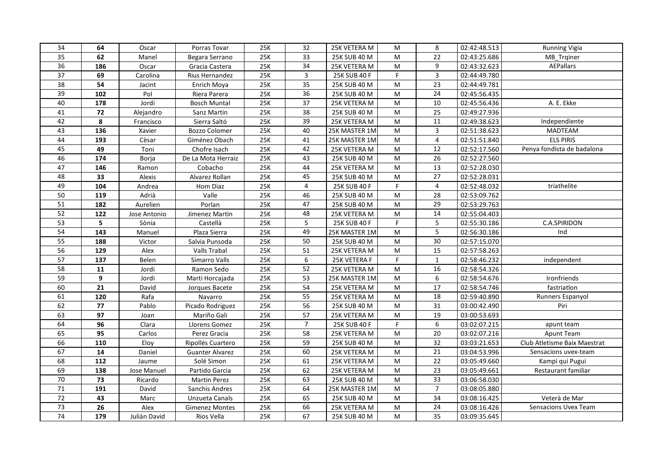| 34              | 64  | Oscar        | Porras Tovar           | 25K | 32              | 25K VETERA M  | M         | 8              | 02:42:48.513 | <b>Running Vigia</b>         |
|-----------------|-----|--------------|------------------------|-----|-----------------|---------------|-----------|----------------|--------------|------------------------------|
| 35              | 62  | Manel        | Begara Serrano         | 25K | 33              | 25K SUB 40 M  | M         | 22             | 02:43:25.686 | MB Trginer                   |
| $\overline{36}$ | 186 | Oscar        | Gracia Castera         | 25K | $\overline{34}$ | 25K VETERA M  | M         | 9              | 02:43:32.623 | <b>AEPallars</b>             |
| 37              | 69  | Carolina     | Rius Hernandez         | 25K | 3               | 25K SUB 40 F  | F.        | 3              | 02:44:49.780 |                              |
| 38              | 54  | Jacint       | Enrich Moya            | 25K | 35              | 25K SUB 40 M  | M         | 23             | 02:44:49.781 |                              |
| 39              | 102 | Pol          | Riera Parera           | 25K | 36              | 25K SUB 40 M  | M         | 24             | 02:45:56.435 |                              |
| 40              | 178 | Jordi        | <b>Bosch Muntal</b>    | 25K | 37              | 25K VETERA M  | ${\sf M}$ | 10             | 02:45:56.436 | A. E. Ekke                   |
| 41              | 72  | Alejandro    | Sanz Martin            | 25K | 38              | 25K SUB 40 M  | M         | 25             | 02:49:27.936 |                              |
| 42              | 8   | Francisco    | Sierra Saltó           | 25K | 39              | 25K VETERA M  | ${\sf M}$ | 11             | 02:49:38.623 | Independiente                |
| 43              | 136 | Xavier       | <b>Bozzo Colomer</b>   | 25K | 40              | 25K MASTER 1M | ${\sf M}$ | $\overline{3}$ | 02:51:38.623 | MADTEAM                      |
| 44              | 193 | Cèsar        | Giménez Obach          | 25K | 41              | 25K MASTER 1M | M         | $\overline{4}$ | 02:51:51.840 | <b>ELS PIRIS</b>             |
| 45              | 49  | Toni         | Chofre Isach           | 25K | 42              | 25K VETERA M  | ${\sf M}$ | 12             | 02:52:17.560 | Penya fondista de badalona   |
| 46              | 174 | Borja        | De La Mota Herraiz     | 25K | 43              | 25K SUB 40 M  | ${\sf M}$ | 26             | 02:52:27.560 |                              |
| 47              | 146 | Ramon        | Cobacho                | 25K | 44              | 25K VETERA M  | M         | 13             | 02:52:28.030 |                              |
| 48              | 33  | Alexis       | Alvarez Rollan         | 25K | 45              | 25K SUB 40 M  | ${\sf M}$ | 27             | 02:52:28.031 |                              |
| 49              | 104 | Andrea       | Hom Diaz               | 25K | 4               | 25K SUB 40 F  | F.        | 4              | 02:52:48.032 | triathelite                  |
| 50              | 119 | Adrià        | Valle                  | 25K | 46              | 25K SUB 40 M  | M         | 28             | 02:53:09.762 |                              |
| 51              | 182 | Aurelien     | Porlan                 | 25K | 47              | 25K SUB 40 M  | M         | 29             | 02:53:29.763 |                              |
| 52              | 122 | Jose Antonio | Jimenez Martin         | 25K | 48              | 25K VETERA M  | M         | 14             | 02:55:04.403 |                              |
| 53              | 5   | Sònia        | Castellà               | 25K | 5               | 25K SUB 40 F  | F.        | 5              | 02:55:30.186 | C.A.SPIRIDON                 |
| 54              | 143 | Manuel       | Plaza Sierra           | 25K | 49              | 25K MASTER 1M | ${\sf M}$ | 5              | 02:56:30.186 | Ind                          |
| 55              | 188 | Victor       | Salvia Punsoda         | 25K | 50              | 25K SUB 40 M  | ${\sf M}$ | 30             | 02:57:15.070 |                              |
| 56              | 129 | Alex         | <b>Valls Trabal</b>    | 25K | 51              | 25K VETERA M  | M         | 15             | 02:57:58.263 |                              |
| 57              | 137 | Belen        | Simarro Valls          | 25K | 6               | 25K VETERA F  | F.        | $\mathbf{1}$   | 02:58:46.232 | independent                  |
| 58              | 11  | Jordi        | Ramon Sedo             | 25K | 52              | 25K VETERA M  | M         | 16             | 02:58:54.326 |                              |
| 59              | 9   | Jordi        | Marti Horcajada        | 25K | 53              | 25K MASTER 1M | M         | 6              | 02:58:54.676 | Ironfriends                  |
| 60              | 21  | David        | Jorques Bacete         | 25K | 54              | 25K VETERA M  | M         | 17             | 02:58:54.746 | fastriation                  |
| 61              | 120 | Rafa         | Navarro                | 25K | 55              | 25K VETERA M  | ${\sf M}$ | 18             | 02:59:40.890 | Runners Espanyol             |
| 62              | 77  | Pablo        | Picado Rodriguez       | 25K | 56              | 25K SUB 40 M  | M         | 31             | 03:00:42.490 | Piri                         |
| 63              | 97  | Joan         | Mariño Gali            | 25K | 57              | 25K VETERA M  | M         | 19             | 03:00:53.693 |                              |
| 64              | 96  | Clara        | Llorens Gomez          | 25K | $\overline{7}$  | 25K SUB 40 F  | F.        | 6              | 03:02:07.215 | apunt team                   |
| 65              | 95  | Carlos       | Perez Gracia           | 25K | 58              | 25K VETERA M  | ${\sf M}$ | 20             | 03:02:07.216 | Apunt Team                   |
| 66              | 110 | Eloy         | Ripollés Cuartero      | 25K | 59              | 25K SUB 40 M  | M         | 32             | 03:03:21.653 | Club Atletisme Baix Maestrat |
| 67              | 14  | Daniel       | <b>Guanter Alvarez</b> | 25K | 60              | 25K VETERA M  | M         | 21             | 03:04:53.996 | Sensacions uvex-team         |
| 68              | 112 | Jaume        | Solé Simon             | 25K | 61              | 25K VETERA M  | M         | 22             | 03:05:49.660 | Kampi qui Pugui              |
| 69              | 138 | Jose Manuel  | Partido Garcia         | 25K | 62              | 25K VETERA M  | M         | 23             | 03:05:49.661 | Restaurant familiar          |
| 70              | 73  | Ricardo      | <b>Martin Perez</b>    | 25K | 63              | 25K SUB 40 M  | M         | 33             | 03:06:58.030 |                              |
| 71              | 191 | David        | Sanchis Andres         | 25K | 64              | 25K MASTER 1M | M         | $\overline{7}$ | 03:08:05.880 |                              |
| 72              | 43  | Marc         | Unzueta Canals         | 25K | 65              | 25K SUB 40 M  | M         | 34             | 03:08:16.425 | Veterà de Mar                |
| 73              | 26  | Alex         | <b>Gimenez Montes</b>  | 25K | 66              | 25K VETERA M  | M         | 24             | 03:08:16.426 | Sensacions Uvex Team         |
| $74\,$          | 179 | Julián David | Rios Vella             | 25K | 67              | 25K SUB 40 M  | M         | 35             | 03:09:35.645 |                              |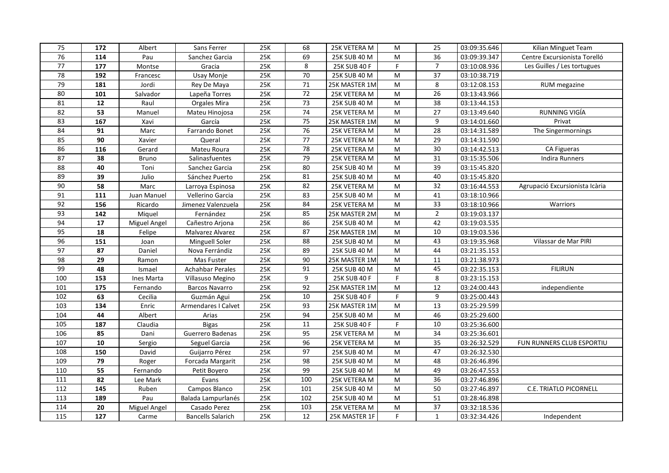| 75              | 172        | Albert       | Sans Ferrer              | 25K | 68              | 25K VETERA M  | M                                                                                     | 25              | 03:09:35.646 | Kilian Minguet Team            |
|-----------------|------------|--------------|--------------------------|-----|-----------------|---------------|---------------------------------------------------------------------------------------|-----------------|--------------|--------------------------------|
| 76              | 114        | Pau          | Sanchez Garcia           | 25K | 69              | 25K SUB 40 M  | M                                                                                     | 36              | 03:09:39.347 | Centre Excursionista Torelló   |
| $\overline{77}$ | 177        | Montse       | Gracia                   | 25K | 8               | 25K SUB 40 F  | F.                                                                                    | $\overline{7}$  | 03:10:08.936 | Les Guilles / Les tortugues    |
| 78              | 192        | Francesc     | Usay Monje               | 25K | 70              | 25K SUB 40 M  | M                                                                                     | 37              | 03:10:38.719 |                                |
| 79              | 181        | Jordi        | Rey De Maya              | 25K | $71\,$          | 25K MASTER 1M | M                                                                                     | 8               | 03:12:08.153 | RUM megazine                   |
| 80              | 101        | Salvador     | Lapeña Torres            | 25K | 72              | 25K VETERA M  | M                                                                                     | 26              | 03:13:43.966 |                                |
| 81              | 12         | Raul         | Orgales Mira             | 25K | 73              | 25K SUB 40 M  | M                                                                                     | 38              | 03:13:44.153 |                                |
| 82              | 53         | Manuel       | Mateu Hinojosa           | 25K | $\overline{74}$ | 25K VETERA M  | M                                                                                     | 27              | 03:13:49.640 | RUNNING VIGÍA                  |
| 83              | 167        | Xavi         | García                   | 25K | 75              | 25K MASTER 1M | ${\sf M}$                                                                             | 9               | 03:14:01.660 | Privat                         |
| 84              | 91         | Marc         | Farrando Bonet           | 25K | 76              | 25K VETERA M  | ${\sf M}$                                                                             | 28              | 03:14:31.589 | The Singermornings             |
| 85              | 90         | Xavier       | Queral                   | 25K | 77              | 25K VETERA M  | ${\sf M}$                                                                             | 29              | 03:14:31.590 |                                |
| 86              | 116        | Gerard       | Mateu Roura              | 25K | 78              | 25K VETERA M  | M                                                                                     | 30              | 03:14:42.513 | CA Figueras                    |
| 87              | 38         | <b>Bruno</b> | Salinasfuentes           | 25K | 79              | 25K VETERA M  | $\mathsf{M}% _{T}=\mathsf{M}_{T}\!\left( a,b\right) ,\ \mathsf{M}_{T}=\mathsf{M}_{T}$ | 31              | 03:15:35.506 | <b>Indira Runners</b>          |
| 88              | 40         | Toni         | Sanchez Garcia           | 25K | 80              | 25K SUB 40 M  | ${\sf M}$                                                                             | 39              | 03:15:45.820 |                                |
| 89              | 39         | Julio        | Sánchez Puerto           | 25K | 81              | 25K SUB 40 M  | M                                                                                     | 40              | 03:15:45.820 |                                |
| 90              | 58         | Marc         | Larroya Espinosa         | 25K | 82              | 25K VETERA M  | M                                                                                     | 32              | 03:16:44.553 | Agrupació Excursionista Icària |
| 91              | 111        | Juan Manuel  | Vellerino Garcia         | 25K | 83              | 25K SUB 40 M  | M                                                                                     | 41              | 03:18:10.966 |                                |
| 92              | 156        | Ricardo      | Jimenez Valenzuela       | 25K | 84              | 25K VETERA M  | M                                                                                     | 33              | 03:18:10.966 | Warriors                       |
| 93              | 142        | Miquel       | Fernández                | 25K | 85              | 25K MASTER 2M | M                                                                                     | $\overline{2}$  | 03:19:03.137 |                                |
| 94              | 17         | Miguel Angel | Cañestro Arjona          | 25K | 86              | 25K SUB 40 M  | M                                                                                     | 42              | 03:19:03.535 |                                |
| 95              | 18         | Felipe       | Malvarez Alvarez         | 25K | 87              | 25K MASTER 1M | ${\sf M}$                                                                             | 10              | 03:19:03.536 |                                |
| 96              | 151        | Joan         | <b>Minguell Soler</b>    | 25K | 88              | 25K SUB 40 M  | ${\sf M}$                                                                             | 43              | 03:19:35.968 | Vilassar de Mar PIRI           |
| 97              | 87         | Daniel       | Nova Ferrándiz           | 25K | 89              | 25K SUB 40 M  | M                                                                                     | 44              | 03:21:35.153 |                                |
| 98              | 29         | Ramon        | Mas Fuster               | 25K | 90              | 25K MASTER 1M | M                                                                                     | 11              | 03:21:38.973 |                                |
| $\overline{99}$ | 48         | Ismael       | <b>Achahbar Perales</b>  | 25K | 91              | 25K SUB 40 M  | ${\sf M}$                                                                             | 45              | 03:22:35.153 | <b>FILIRUN</b>                 |
| 100             | 153        | Ines Marta   | Villasuso Megino         | 25K | 9               | 25K SUB 40 F  | F.                                                                                    | 8               | 03:23:15.153 |                                |
| 101             | 175        | Fernando     | <b>Barcos Navarro</b>    | 25K | 92              | 25K MASTER 1M | M                                                                                     | 12              | 03:24:00.443 | independiente                  |
| 102             | 63         | Cecilia      | Guzmán Agui              | 25K | 10              | 25K SUB 40 F  | F.                                                                                    | 9               | 03:25:00.443 |                                |
| 103             | 134        | Enric        | Armendares I Calvet      | 25K | 93              | 25K MASTER 1M | M                                                                                     | 13              | 03:25:29.599 |                                |
| 104             | 44         | Albert       | Arias                    | 25K | $\overline{94}$ | 25K SUB 40 M  | M                                                                                     | 46              | 03:25:29.600 |                                |
| 105             | 187        | Claudia      | <b>Bigas</b>             | 25K | $11\,$          | 25K SUB 40 F  | F                                                                                     | 10              | 03:25:36.600 |                                |
| 106             | 85         | Dani         | Guerrero Badenas         | 25K | 95              | 25K VETERA M  | M                                                                                     | 34              | 03:25:36.601 |                                |
| 107             | ${\bf 10}$ | Sergio       | Seguel Garcia            | 25K | 96              | 25K VETERA M  | ${\sf M}$                                                                             | 35              | 03:26:32.529 | FUN RUNNERS CLUB ESPORTIU      |
| 108             | 150        | David        | Guijarro Pérez           | 25K | 97              | 25K SUB 40 M  | M                                                                                     | 47              | 03:26:32.530 |                                |
| 109             | 79         | Roger        | Forcada Margarit         | 25K | 98              | 25K SUB 40 M  | ${\sf M}$                                                                             | 48              | 03:26:46.896 |                                |
| 110             | 55         | Fernando     | Petit Boyero             | 25K | 99              | 25K SUB 40 M  | M                                                                                     | 49              | 03:26:47.553 |                                |
| 111             | 82         | Lee Mark     | Evans                    | 25K | 100             | 25K VETERA M  | M                                                                                     | 36              | 03:27:46.896 |                                |
| 112             | 145        | Ruben        | Campos Blanco            | 25K | 101             | 25K SUB 40 M  | M                                                                                     | 50              | 03:27:46.897 | <b>C.E. TRIATLO PICORNELL</b>  |
| 113             | 189        | Pau          | Balada Lampurlanés       | 25K | 102             | 25K SUB 40 M  | M                                                                                     | 51              | 03:28:46.898 |                                |
| 114             | 20         | Miguel Angel | Casado Perez             | 25K | 103             | 25K VETERA M  | M                                                                                     | $\overline{37}$ | 03:32:18.536 |                                |
| 115             | 127        | Carme        | <b>Bancells Salarich</b> | 25K | 12              | 25K MASTER 1F | F.                                                                                    | $\mathbf{1}$    | 03:32:34.426 | Independent                    |